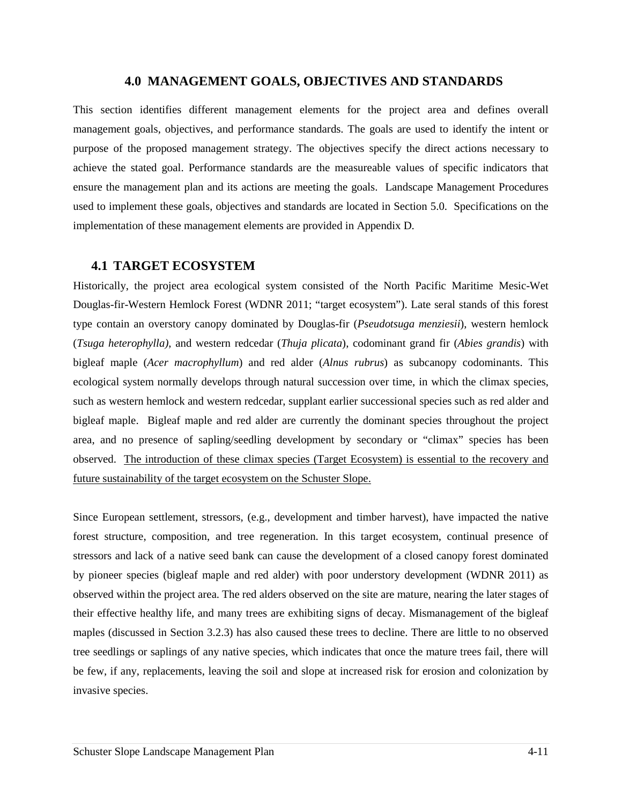### **4.0 MANAGEMENT GOALS, OBJECTIVES AND STANDARDS**

This section identifies different management elements for the project area and defines overall management goals, objectives, and performance standards. The goals are used to identify the intent or purpose of the proposed management strategy. The objectives specify the direct actions necessary to achieve the stated goal. Performance standards are the measureable values of specific indicators that ensure the management plan and its actions are meeting the goals. Landscape Management Procedures used to implement these goals, objectives and standards are located in Section 5.0. Specifications on the implementation of these management elements are provided in Appendix D.

# **4.1 TARGET ECOSYSTEM**

Historically, the project area ecological system consisted of the North Pacific Maritime Mesic-Wet Douglas-fir-Western Hemlock Forest (WDNR 2011; "target ecosystem"). Late seral stands of this forest type contain an overstory canopy dominated by Douglas-fir (*Pseudotsuga menziesii*), western hemlock (*Tsuga heterophylla)*, and western redcedar (*Thuja plicata*), codominant grand fir (*Abies grandis*) with bigleaf maple (*Acer macrophyllum*) and red alder (*Alnus rubrus*) as subcanopy codominants. This ecological system normally develops through natural succession over time, in which the climax species, such as western hemlock and western redcedar, supplant earlier successional species such as red alder and bigleaf maple. Bigleaf maple and red alder are currently the dominant species throughout the project area, and no presence of sapling/seedling development by secondary or "climax" species has been observed. The introduction of these climax species (Target Ecosystem) is essential to the recovery and future sustainability of the target ecosystem on the Schuster Slope.

Since European settlement, stressors, (e.g., development and timber harvest), have impacted the native forest structure, composition, and tree regeneration. In this target ecosystem, continual presence of stressors and lack of a native seed bank can cause the development of a closed canopy forest dominated by pioneer species (bigleaf maple and red alder) with poor understory development (WDNR 2011) as observed within the project area. The red alders observed on the site are mature, nearing the later stages of their effective healthy life, and many trees are exhibiting signs of decay. Mismanagement of the bigleaf maples (discussed in Section 3.2.3) has also caused these trees to decline. There are little to no observed tree seedlings or saplings of any native species, which indicates that once the mature trees fail, there will be few, if any, replacements, leaving the soil and slope at increased risk for erosion and colonization by invasive species.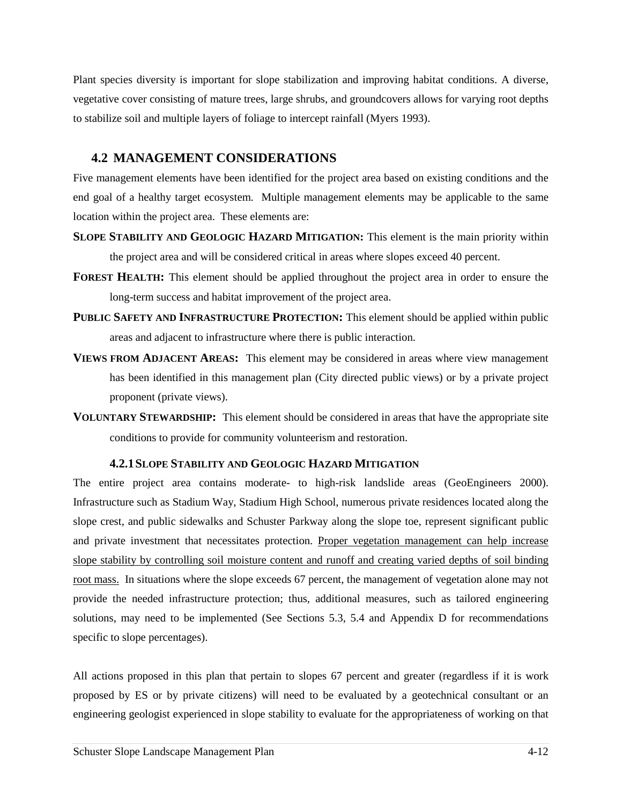Plant species diversity is important for slope stabilization and improving habitat conditions. A diverse, vegetative cover consisting of mature trees, large shrubs, and groundcovers allows for varying root depths to stabilize soil and multiple layers of foliage to intercept rainfall (Myers 1993).

# **4.2 MANAGEMENT CONSIDERATIONS**

Five management elements have been identified for the project area based on existing conditions and the end goal of a healthy target ecosystem. Multiple management elements may be applicable to the same location within the project area. These elements are:

- **SLOPE STABILITY AND GEOLOGIC HAZARD MITIGATION:** This element is the main priority within the project area and will be considered critical in areas where slopes exceed 40 percent.
- **FOREST HEALTH:** This element should be applied throughout the project area in order to ensure the long-term success and habitat improvement of the project area.
- **PUBLIC SAFETY AND INFRASTRUCTURE PROTECTION:** This element should be applied within public areas and adjacent to infrastructure where there is public interaction.
- **VIEWS FROM ADJACENT AREAS:** This element may be considered in areas where view management has been identified in this management plan (City directed public views) or by a private project proponent (private views).
- **VOLUNTARY STEWARDSHIP:** This element should be considered in areas that have the appropriate site conditions to provide for community volunteerism and restoration.

# **4.2.1SLOPE STABILITY AND GEOLOGIC HAZARD MITIGATION**

The entire project area contains moderate- to high-risk landslide areas (GeoEngineers 2000). Infrastructure such as Stadium Way, Stadium High School, numerous private residences located along the slope crest, and public sidewalks and Schuster Parkway along the slope toe, represent significant public and private investment that necessitates protection. Proper vegetation management can help increase slope stability by controlling soil moisture content and runoff and creating varied depths of soil binding root mass. In situations where the slope exceeds 67 percent, the management of vegetation alone may not provide the needed infrastructure protection; thus, additional measures, such as tailored engineering solutions, may need to be implemented (See Sections 5.3, 5.4 and Appendix D for recommendations specific to slope percentages).

All actions proposed in this plan that pertain to slopes 67 percent and greater (regardless if it is work proposed by ES or by private citizens) will need to be evaluated by a geotechnical consultant or an engineering geologist experienced in slope stability to evaluate for the appropriateness of working on that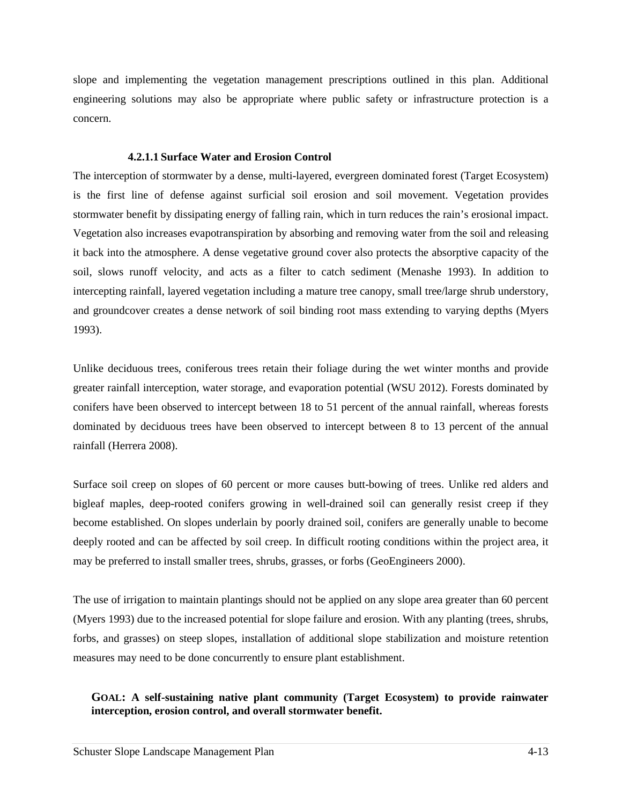slope and implementing the vegetation management prescriptions outlined in this plan. Additional engineering solutions may also be appropriate where public safety or infrastructure protection is a concern.

#### **4.2.1.1 Surface Water and Erosion Control**

The interception of stormwater by a dense, multi-layered, evergreen dominated forest (Target Ecosystem) is the first line of defense against surficial soil erosion and soil movement. Vegetation provides stormwater benefit by dissipating energy of falling rain, which in turn reduces the rain's erosional impact. Vegetation also increases evapotranspiration by absorbing and removing water from the soil and releasing it back into the atmosphere. A dense vegetative ground cover also protects the absorptive capacity of the soil, slows runoff velocity, and acts as a filter to catch sediment (Menashe 1993). In addition to intercepting rainfall, layered vegetation including a mature tree canopy, small tree/large shrub understory, and groundcover creates a dense network of soil binding root mass extending to varying depths (Myers 1993).

Unlike deciduous trees, coniferous trees retain their foliage during the wet winter months and provide greater rainfall interception, water storage, and evaporation potential (WSU 2012). Forests dominated by conifers have been observed to intercept between 18 to 51 percent of the annual rainfall, whereas forests dominated by deciduous trees have been observed to intercept between 8 to 13 percent of the annual rainfall (Herrera 2008).

Surface soil creep on slopes of 60 percent or more causes butt-bowing of trees. Unlike red alders and bigleaf maples, deep-rooted conifers growing in well-drained soil can generally resist creep if they become established. On slopes underlain by poorly drained soil, conifers are generally unable to become deeply rooted and can be affected by soil creep. In difficult rooting conditions within the project area, it may be preferred to install smaller trees, shrubs, grasses, or forbs (GeoEngineers 2000).

The use of irrigation to maintain plantings should not be applied on any slope area greater than 60 percent (Myers 1993) due to the increased potential for slope failure and erosion. With any planting (trees, shrubs, forbs, and grasses) on steep slopes, installation of additional slope stabilization and moisture retention measures may need to be done concurrently to ensure plant establishment.

# **GOAL: A self-sustaining native plant community (Target Ecosystem) to provide rainwater interception, erosion control, and overall stormwater benefit.**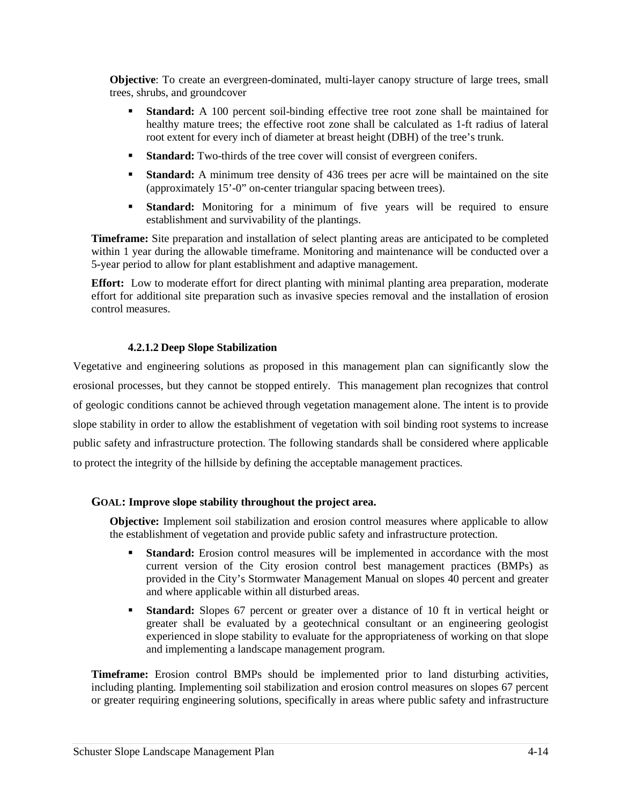**Objective**: To create an evergreen-dominated, multi-layer canopy structure of large trees, small trees, shrubs, and groundcover

- **Standard:** A 100 percent soil-binding effective tree root zone shall be maintained for healthy mature trees; the effective root zone shall be calculated as 1-ft radius of lateral root extent for every inch of diameter at breast height (DBH) of the tree's trunk.
- **Standard:** Two-thirds of the tree cover will consist of evergreen conifers.
- **Standard:** A minimum tree density of 436 trees per acre will be maintained on the site (approximately 15'-0" on-center triangular spacing between trees).
- **Standard:** Monitoring for a minimum of five years will be required to ensure establishment and survivability of the plantings.

**Timeframe:** Site preparation and installation of select planting areas are anticipated to be completed within 1 year during the allowable timeframe. Monitoring and maintenance will be conducted over a 5-year period to allow for plant establishment and adaptive management.

**Effort:** Low to moderate effort for direct planting with minimal planting area preparation, moderate effort for additional site preparation such as invasive species removal and the installation of erosion control measures.

# **4.2.1.2 Deep Slope Stabilization**

Vegetative and engineering solutions as proposed in this management plan can significantly slow the erosional processes, but they cannot be stopped entirely. This management plan recognizes that control of geologic conditions cannot be achieved through vegetation management alone. The intent is to provide slope stability in order to allow the establishment of vegetation with soil binding root systems to increase public safety and infrastructure protection. The following standards shall be considered where applicable to protect the integrity of the hillside by defining the acceptable management practices.

# **GOAL: Improve slope stability throughout the project area.**

**Objective:** Implement soil stabilization and erosion control measures where applicable to allow the establishment of vegetation and provide public safety and infrastructure protection.

- **Standard:** Erosion control measures will be implemented in accordance with the most current version of the City erosion control best management practices (BMPs) as provided in the City's Stormwater Management Manual on slopes 40 percent and greater and where applicable within all disturbed areas.
- **Standard:** Slopes 67 percent or greater over a distance of 10 ft in vertical height or greater shall be evaluated by a geotechnical consultant or an engineering geologist experienced in slope stability to evaluate for the appropriateness of working on that slope and implementing a landscape management program.

**Timeframe:** Erosion control BMPs should be implemented prior to land disturbing activities, including planting. Implementing soil stabilization and erosion control measures on slopes 67 percent or greater requiring engineering solutions, specifically in areas where public safety and infrastructure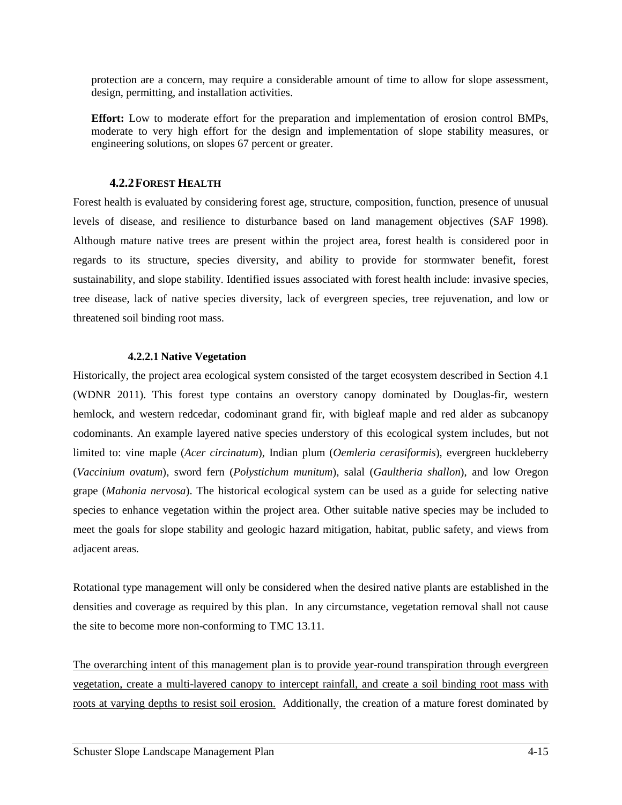protection are a concern, may require a considerable amount of time to allow for slope assessment, design, permitting, and installation activities.

**Effort:** Low to moderate effort for the preparation and implementation of erosion control BMPs, moderate to very high effort for the design and implementation of slope stability measures, or engineering solutions, on slopes 67 percent or greater.

#### **4.2.2FOREST HEALTH**

Forest health is evaluated by considering forest age, structure, composition, function, presence of unusual levels of disease, and resilience to disturbance based on land management objectives (SAF 1998). Although mature native trees are present within the project area, forest health is considered poor in regards to its structure, species diversity, and ability to provide for stormwater benefit, forest sustainability, and slope stability. Identified issues associated with forest health include: invasive species, tree disease, lack of native species diversity, lack of evergreen species, tree rejuvenation, and low or threatened soil binding root mass.

### **4.2.2.1 Native Vegetation**

Historically, the project area ecological system consisted of the target ecosystem described in Section 4.1 (WDNR 2011). This forest type contains an overstory canopy dominated by Douglas-fir, western hemlock, and western redcedar, codominant grand fir, with bigleaf maple and red alder as subcanopy codominants. An example layered native species understory of this ecological system includes, but not limited to: vine maple (*Acer circinatum*), Indian plum (*Oemleria cerasiformis*), evergreen huckleberry (*Vaccinium ovatum*), sword fern (*Polystichum munitum*), salal (*Gaultheria shallon*), and low Oregon grape (*Mahonia nervosa*). The historical ecological system can be used as a guide for selecting native species to enhance vegetation within the project area. Other suitable native species may be included to meet the goals for slope stability and geologic hazard mitigation, habitat, public safety, and views from adjacent areas.

Rotational type management will only be considered when the desired native plants are established in the densities and coverage as required by this plan. In any circumstance, vegetation removal shall not cause the site to become more non-conforming to TMC 13.11.

The overarching intent of this management plan is to provide year-round transpiration through evergreen vegetation, create a multi-layered canopy to intercept rainfall, and create a soil binding root mass with roots at varying depths to resist soil erosion. Additionally, the creation of a mature forest dominated by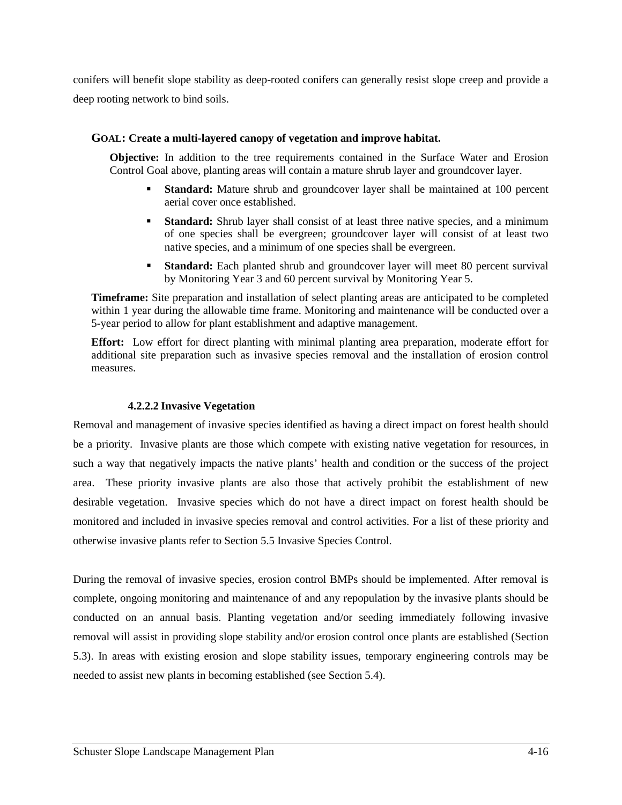conifers will benefit slope stability as deep-rooted conifers can generally resist slope creep and provide a deep rooting network to bind soils.

### **GOAL: Create a multi-layered canopy of vegetation and improve habitat.**

**Objective:** In addition to the tree requirements contained in the Surface Water and Erosion Control Goal above, planting areas will contain a mature shrub layer and groundcover layer.

- **Standard:** Mature shrub and groundcover layer shall be maintained at 100 percent aerial cover once established.
- **Standard:** Shrub layer shall consist of at least three native species, and a minimum of one species shall be evergreen; groundcover layer will consist of at least two native species, and a minimum of one species shall be evergreen.
- **Standard:** Each planted shrub and groundcover layer will meet 80 percent survival by Monitoring Year 3 and 60 percent survival by Monitoring Year 5.

**Timeframe:** Site preparation and installation of select planting areas are anticipated to be completed within 1 year during the allowable time frame. Monitoring and maintenance will be conducted over a 5-year period to allow for plant establishment and adaptive management.

**Effort:** Low effort for direct planting with minimal planting area preparation, moderate effort for additional site preparation such as invasive species removal and the installation of erosion control measures.

#### **4.2.2.2 Invasive Vegetation**

Removal and management of invasive species identified as having a direct impact on forest health should be a priority. Invasive plants are those which compete with existing native vegetation for resources, in such a way that negatively impacts the native plants' health and condition or the success of the project area. These priority invasive plants are also those that actively prohibit the establishment of new desirable vegetation. Invasive species which do not have a direct impact on forest health should be monitored and included in invasive species removal and control activities. For a list of these priority and otherwise invasive plants refer to Section 5.5 Invasive Species Control.

During the removal of invasive species, erosion control BMPs should be implemented. After removal is complete, ongoing monitoring and maintenance of and any repopulation by the invasive plants should be conducted on an annual basis. Planting vegetation and/or seeding immediately following invasive removal will assist in providing slope stability and/or erosion control once plants are established (Section 5.3). In areas with existing erosion and slope stability issues, temporary engineering controls may be needed to assist new plants in becoming established (see Section 5.4).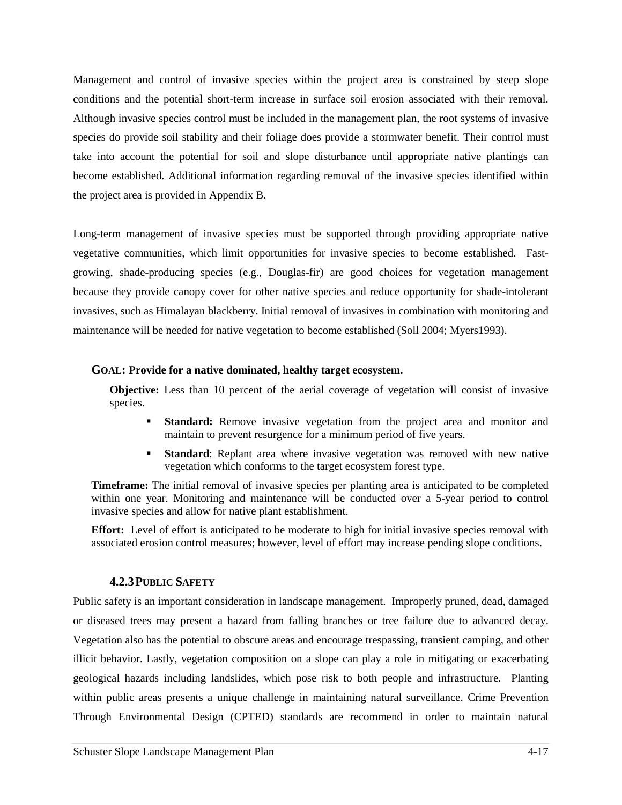Management and control of invasive species within the project area is constrained by steep slope conditions and the potential short-term increase in surface soil erosion associated with their removal. Although invasive species control must be included in the management plan, the root systems of invasive species do provide soil stability and their foliage does provide a stormwater benefit. Their control must take into account the potential for soil and slope disturbance until appropriate native plantings can become established. Additional information regarding removal of the invasive species identified within the project area is provided in Appendix B.

Long-term management of invasive species must be supported through providing appropriate native vegetative communities, which limit opportunities for invasive species to become established. Fastgrowing, shade-producing species (e.g., Douglas-fir) are good choices for vegetation management because they provide canopy cover for other native species and reduce opportunity for shade-intolerant invasives, such as Himalayan blackberry. Initial removal of invasives in combination with monitoring and maintenance will be needed for native vegetation to become established (Soll 2004; Myers1993).

### **GOAL: Provide for a native dominated, healthy target ecosystem.**

**Objective:** Less than 10 percent of the aerial coverage of vegetation will consist of invasive species.

- **Standard:** Remove invasive vegetation from the project area and monitor and maintain to prevent resurgence for a minimum period of five years.
- **Standard**: Replant area where invasive vegetation was removed with new native vegetation which conforms to the target ecosystem forest type.

**Timeframe:** The initial removal of invasive species per planting area is anticipated to be completed within one year. Monitoring and maintenance will be conducted over a 5-year period to control invasive species and allow for native plant establishment.

**Effort:** Level of effort is anticipated to be moderate to high for initial invasive species removal with associated erosion control measures; however, level of effort may increase pending slope conditions.

# **4.2.3PUBLIC SAFETY**

Public safety is an important consideration in landscape management. Improperly pruned, dead, damaged or diseased trees may present a hazard from falling branches or tree failure due to advanced decay. Vegetation also has the potential to obscure areas and encourage trespassing, transient camping, and other illicit behavior. Lastly, vegetation composition on a slope can play a role in mitigating or exacerbating geological hazards including landslides, which pose risk to both people and infrastructure. Planting within public areas presents a unique challenge in maintaining natural surveillance. Crime Prevention Through Environmental Design (CPTED) standards are recommend in order to maintain natural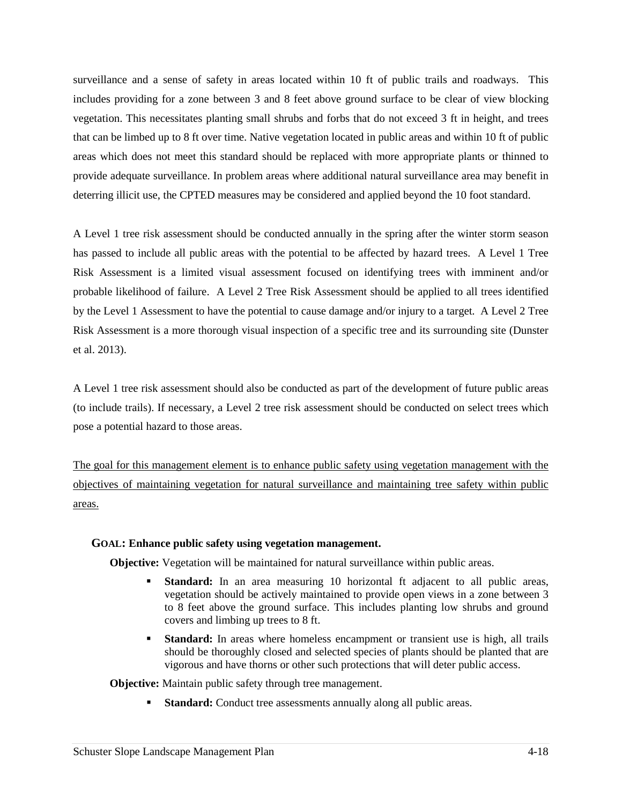surveillance and a sense of safety in areas located within 10 ft of public trails and roadways. This includes providing for a zone between 3 and 8 feet above ground surface to be clear of view blocking vegetation. This necessitates planting small shrubs and forbs that do not exceed 3 ft in height, and trees that can be limbed up to 8 ft over time. Native vegetation located in public areas and within 10 ft of public areas which does not meet this standard should be replaced with more appropriate plants or thinned to provide adequate surveillance. In problem areas where additional natural surveillance area may benefit in deterring illicit use, the CPTED measures may be considered and applied beyond the 10 foot standard.

A Level 1 tree risk assessment should be conducted annually in the spring after the winter storm season has passed to include all public areas with the potential to be affected by hazard trees. A Level 1 Tree Risk Assessment is a limited visual assessment focused on identifying trees with imminent and/or probable likelihood of failure. A Level 2 Tree Risk Assessment should be applied to all trees identified by the Level 1 Assessment to have the potential to cause damage and/or injury to a target. A Level 2 Tree Risk Assessment is a more thorough visual inspection of a specific tree and its surrounding site (Dunster et al. 2013).

A Level 1 tree risk assessment should also be conducted as part of the development of future public areas (to include trails). If necessary, a Level 2 tree risk assessment should be conducted on select trees which pose a potential hazard to those areas.

The goal for this management element is to enhance public safety using vegetation management with the objectives of maintaining vegetation for natural surveillance and maintaining tree safety within public areas.

# **GOAL: Enhance public safety using vegetation management.**

**Objective:** Vegetation will be maintained for natural surveillance within public areas.

- **Standard:** In an area measuring 10 horizontal ft adjacent to all public areas, vegetation should be actively maintained to provide open views in a zone between 3 to 8 feet above the ground surface. This includes planting low shrubs and ground covers and limbing up trees to 8 ft.
- **Standard:** In areas where homeless encampment or transient use is high, all trails should be thoroughly closed and selected species of plants should be planted that are vigorous and have thorns or other such protections that will deter public access.

**Objective:** Maintain public safety through tree management.

**Standard:** Conduct tree assessments annually along all public areas.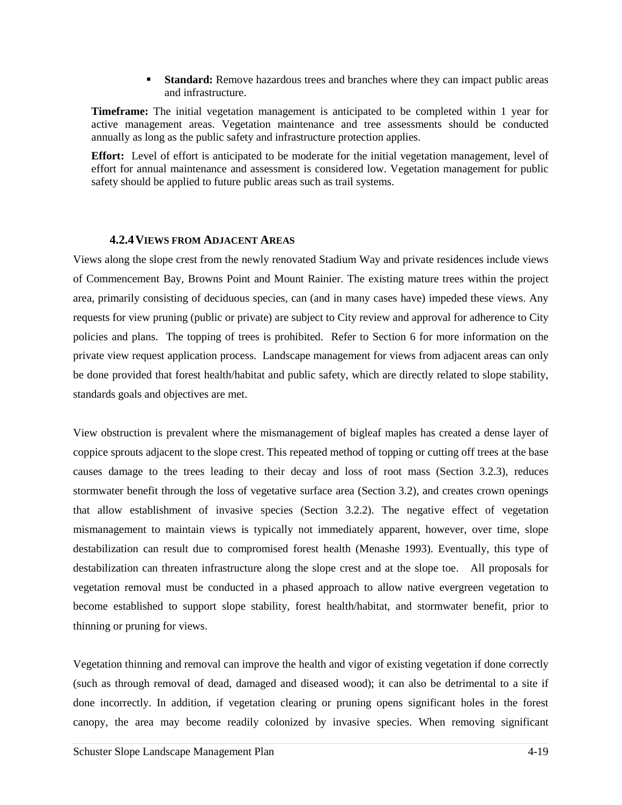**Standard:** Remove hazardous trees and branches where they can impact public areas and infrastructure.

**Timeframe:** The initial vegetation management is anticipated to be completed within 1 year for active management areas. Vegetation maintenance and tree assessments should be conducted annually as long as the public safety and infrastructure protection applies.

**Effort:** Level of effort is anticipated to be moderate for the initial vegetation management, level of effort for annual maintenance and assessment is considered low. Vegetation management for public safety should be applied to future public areas such as trail systems.

### **4.2.4VIEWS FROM ADJACENT AREAS**

Views along the slope crest from the newly renovated Stadium Way and private residences include views of Commencement Bay, Browns Point and Mount Rainier. The existing mature trees within the project area, primarily consisting of deciduous species, can (and in many cases have) impeded these views. Any requests for view pruning (public or private) are subject to City review and approval for adherence to City policies and plans. The topping of trees is prohibited. Refer to Section 6 for more information on the private view request application process. Landscape management for views from adjacent areas can only be done provided that forest health/habitat and public safety, which are directly related to slope stability, standards goals and objectives are met.

View obstruction is prevalent where the mismanagement of bigleaf maples has created a dense layer of coppice sprouts adjacent to the slope crest. This repeated method of topping or cutting off trees at the base causes damage to the trees leading to their decay and loss of root mass (Section 3.2.3), reduces stormwater benefit through the loss of vegetative surface area (Section 3.2), and creates crown openings that allow establishment of invasive species (Section 3.2.2). The negative effect of vegetation mismanagement to maintain views is typically not immediately apparent, however, over time, slope destabilization can result due to compromised forest health (Menashe 1993). Eventually, this type of destabilization can threaten infrastructure along the slope crest and at the slope toe. All proposals for vegetation removal must be conducted in a phased approach to allow native evergreen vegetation to become established to support slope stability, forest health/habitat, and stormwater benefit, prior to thinning or pruning for views.

Vegetation thinning and removal can improve the health and vigor of existing vegetation if done correctly (such as through removal of dead, damaged and diseased wood); it can also be detrimental to a site if done incorrectly. In addition, if vegetation clearing or pruning opens significant holes in the forest canopy, the area may become readily colonized by invasive species. When removing significant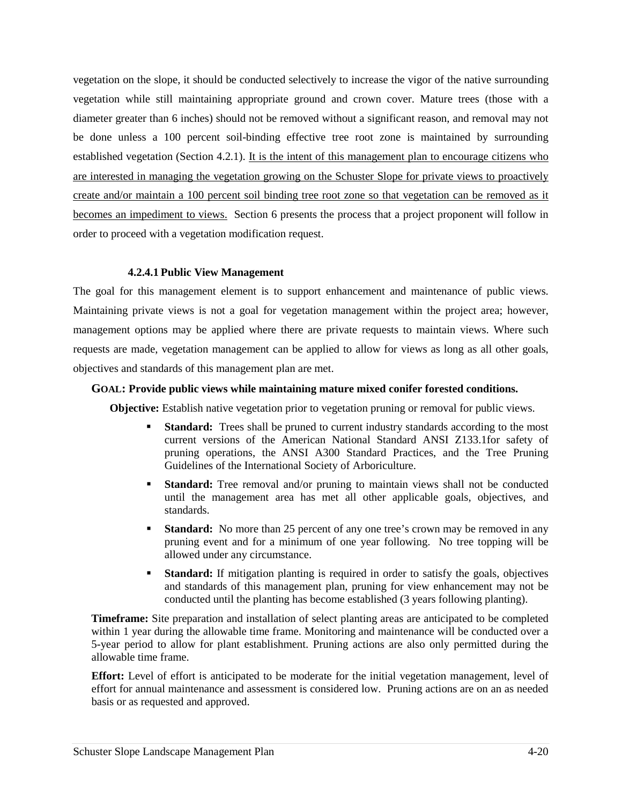vegetation on the slope, it should be conducted selectively to increase the vigor of the native surrounding vegetation while still maintaining appropriate ground and crown cover. Mature trees (those with a diameter greater than 6 inches) should not be removed without a significant reason, and removal may not be done unless a 100 percent soil-binding effective tree root zone is maintained by surrounding established vegetation (Section 4.2.1). It is the intent of this management plan to encourage citizens who are interested in managing the vegetation growing on the Schuster Slope for private views to proactively create and/or maintain a 100 percent soil binding tree root zone so that vegetation can be removed as it becomes an impediment to views. Section 6 presents the process that a project proponent will follow in order to proceed with a vegetation modification request.

### **4.2.4.1 Public View Management**

The goal for this management element is to support enhancement and maintenance of public views. Maintaining private views is not a goal for vegetation management within the project area; however, management options may be applied where there are private requests to maintain views. Where such requests are made, vegetation management can be applied to allow for views as long as all other goals, objectives and standards of this management plan are met.

### **GOAL: Provide public views while maintaining mature mixed conifer forested conditions.**

**Objective:** Establish native vegetation prior to vegetation pruning or removal for public views.

- **Standard:** Trees shall be pruned to current industry standards according to the most current versions of the American National Standard ANSI Z133.1for safety of pruning operations, the ANSI A300 Standard Practices, and the Tree Pruning Guidelines of the International Society of Arboriculture.
- **Standard:** Tree removal and/or pruning to maintain views shall not be conducted until the management area has met all other applicable goals, objectives, and standards.
- **Standard:** No more than 25 percent of any one tree's crown may be removed in any pruning event and for a minimum of one year following. No tree topping will be allowed under any circumstance.
- **Standard:** If mitigation planting is required in order to satisfy the goals, objectives and standards of this management plan, pruning for view enhancement may not be conducted until the planting has become established (3 years following planting).

**Timeframe:** Site preparation and installation of select planting areas are anticipated to be completed within 1 year during the allowable time frame. Monitoring and maintenance will be conducted over a 5-year period to allow for plant establishment. Pruning actions are also only permitted during the allowable time frame.

**Effort:** Level of effort is anticipated to be moderate for the initial vegetation management, level of effort for annual maintenance and assessment is considered low. Pruning actions are on an as needed basis or as requested and approved.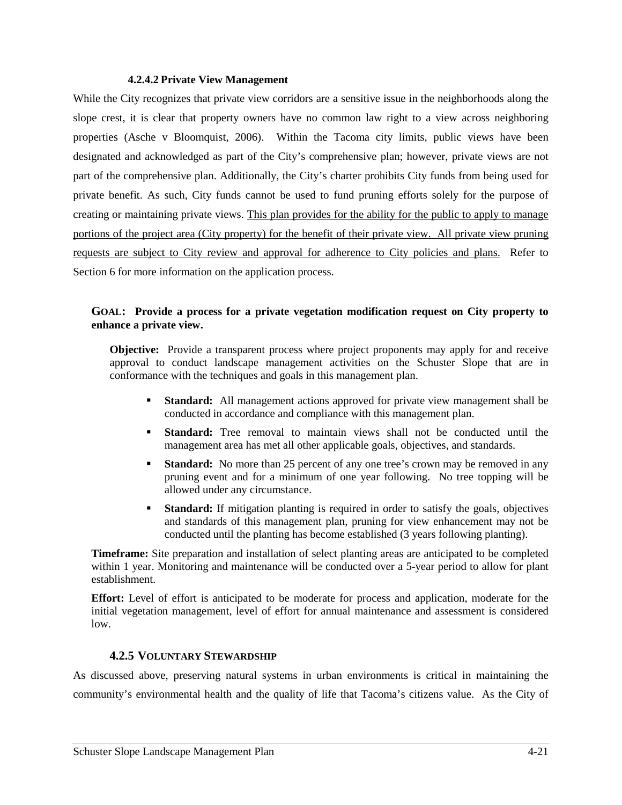#### **4.2.4.2 Private View Management**

While the City recognizes that private view corridors are a sensitive issue in the neighborhoods along the slope crest, it is clear that property owners have no common law right to a view across neighboring properties (Asche v Bloomquist, 2006). Within the Tacoma city limits, public views have been designated and acknowledged as part of the City's comprehensive plan; however, private views are not part of the comprehensive plan. Additionally, the City's charter prohibits City funds from being used for private benefit. As such, City funds cannot be used to fund pruning efforts solely for the purpose of creating or maintaining private views. This plan provides for the ability for the public to apply to manage portions of the project area (City property) for the benefit of their private view. All private view pruning requests are subject to City review and approval for adherence to City policies and plans. Refer to Section 6 for more information on the application process.

#### **GOAL: Provide a process for a private vegetation modification request on City property to enhance a private view.**

**Objective:** Provide a transparent process where project proponents may apply for and receive approval to conduct landscape management activities on the Schuster Slope that are in conformance with the techniques and goals in this management plan.

- **Standard:** All management actions approved for private view management shall be conducted in accordance and compliance with this management plan.
- **Standard:** Tree removal to maintain views shall not be conducted until the management area has met all other applicable goals, objectives, and standards.
- **Standard:** No more than 25 percent of any one tree's crown may be removed in any pruning event and for a minimum of one year following. No tree topping will be allowed under any circumstance.
- **Standard:** If mitigation planting is required in order to satisfy the goals, objectives and standards of this management plan, pruning for view enhancement may not be conducted until the planting has become established (3 years following planting).

**Timeframe:** Site preparation and installation of select planting areas are anticipated to be completed within 1 year. Monitoring and maintenance will be conducted over a 5-year period to allow for plant establishment.

**Effort:** Level of effort is anticipated to be moderate for process and application, moderate for the initial vegetation management, level of effort for annual maintenance and assessment is considered low.

#### **4.2.5 VOLUNTARY STEWARDSHIP**

As discussed above, preserving natural systems in urban environments is critical in maintaining the community's environmental health and the quality of life that Tacoma's citizens value. As the City of